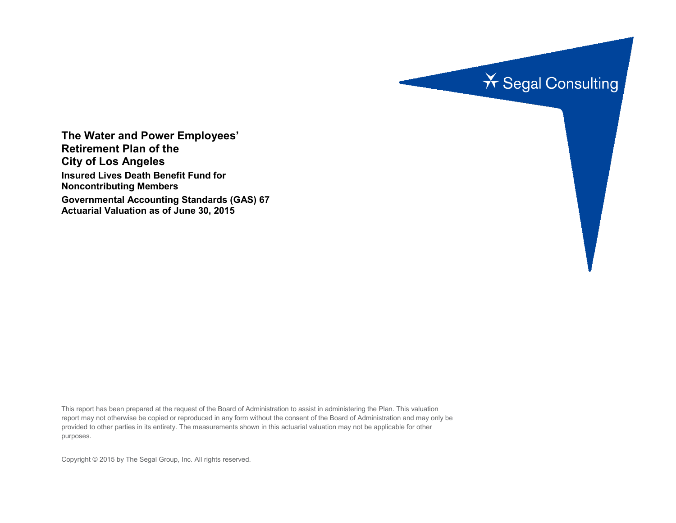

**The Water and Power Employees' Retirement Plan of the City of Los Angeles Insured Lives Death Benefit Fund for Noncontributing Members Governmental Accounting Standards (GAS) 67 Actuarial Valuation as of June 30, 2015**

This report has been prepared at the request of the Board of Administration to assist in administering the Plan. This valuation report may not otherwise be copied or reproduced in any form without the consent of the Board of Administration and may only be provided to other parties in its entirety. The measurements shown in this actuarial valuation may not be applicable for other purposes.

Copyright © 2015 by The Segal Group, Inc. All rights reserved.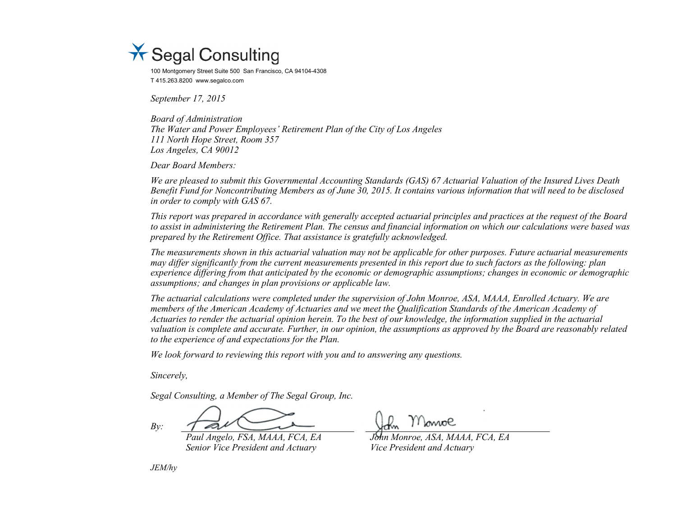

100 Montgomery Street Suite 500 San Francisco, CA 94104-4308 T 415.263.8200 www.segalco.com

*September 17, 2015*

*Board of Administration The Water and Power Employees' Retirement Plan of the City of Los Angeles 111 North Hope Street, Room 357 Los Angeles, CA 90012*

*Dear Board Members:*

*We are pleased to submit this Governmental Accounting Standards (GAS) 67 Actuarial Valuation of the Insured Lives Death Benefit Fund for Noncontributing Members as of June 30, 2015. It contains various information that will need to be disclosed in order to comply with GAS 67.*

*This report was prepared in accordance with generally accepted actuarial principles and practices at the request of the Board to assist in administering the Retirement Plan. The census and financial information on which our calculations were based was prepared by the Retirement Office. That assistance is gratefully acknowledged.* 

*The measurements shown in this actuarial valuation may not be applicable for other purposes. Future actuarial measurements may differ significantly from the current measurements presented in this report due to such factors as the following: plan experience differing from that anticipated by the economic or demographic assumptions; changes in economic or demographic assumptions; and changes in plan provisions or applicable law.*

*The actuarial calculations were completed under the supervision of John Monroe, ASA, MAAA, Enrolled Actuary. We are members of the American Academy of Actuaries and we meet the Qualification Standards of the American Academy of Actuaries to render the actuarial opinion herein. To the best of our knowledge, the information supplied in the actuarial valuation is complete and accurate. Further, in our opinion, the assumptions as approved by the Board are reasonably related to the experience of and expectations for the Plan.*

*We look forward to reviewing this report with you and to answering any questions.*

*Sincerely,*

*Segal Consulting, a Member of The Segal Group, Inc.*

*By:*

*Senior Vice President and Actuary Vice President and Actuary*

lowol

*Paul Angelo, FSA, MAAA, FCA, EA John Monroe, ASA, MAAA, FCA, EA*

*JEM/hy*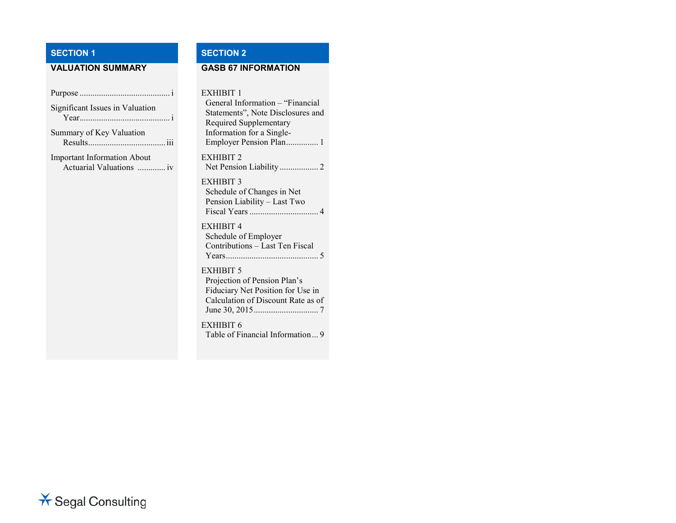## **SECTION 1 SECTION 2**

### **VALUATION SUMMARY GASB 67 INFORMATION**

| Significant Issues in Valuation                                |
|----------------------------------------------------------------|
| Summary of Key Valuation                                       |
| <b>Important Information About</b><br>Actuarial Valuations  iv |
|                                                                |
|                                                                |
|                                                                |
|                                                                |
|                                                                |

#### EXHIBIT 1

General Information – "Financial Statements", Note Disclosures and Required Supplementary Information for a Single-Employer Pension Plan............... 1 EXHIBIT 2 Net Pension Liability .................. 2 EXHIBIT 3 Schedule of Changes in Net Pension Liability – Last Two Fiscal Years................................ 4 EXHIBIT 4 Schedule of Employer Contributions – Last Ten Fiscal Years........................................... 5 EXHIBIT 5 Projection of Pension Plan's Fiduciary Net Position for Use in Calculation of Discount Rate as of

EXHIBIT 6 Table of Financial Information... 9

June 30, 2015.............................. 7

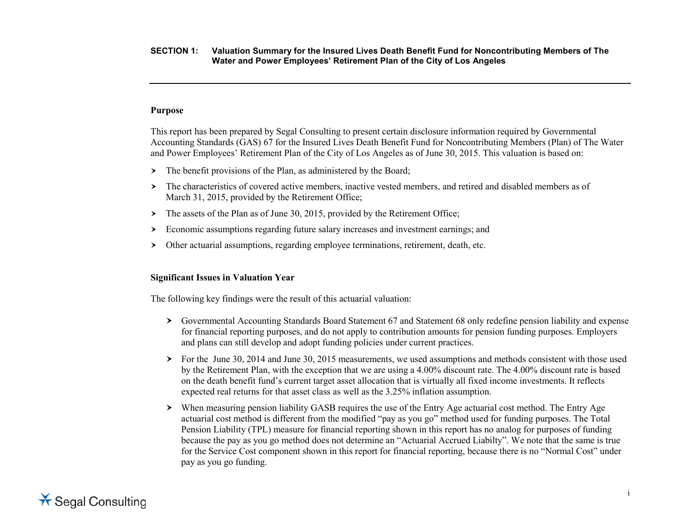#### **Purpose**

This report has been prepared by Segal Consulting to present certain disclosure information required by Governmental Accounting Standards (GAS) 67 for the Insured Lives Death Benefit Fund for Noncontributing Members (Plan) of The Water and Power Employees' Retirement Plan of the City of Los Angeles as of June 30, 2015. This valuation is based on:

- $\triangleright$  The benefit provisions of the Plan, as administered by the Board;
- The characteristics of covered active members, inactive vested members, and retired and disabled members as of March 31, 2015, provided by the Retirement Office;
- $\triangleright$  The assets of the Plan as of June 30, 2015, provided by the Retirement Office;
- Economic assumptions regarding future salary increases and investment earnings; and
- Other actuarial assumptions, regarding employee terminations, retirement, death, etc.

#### **Significant Issues in Valuation Year**

The following key findings were the result of this actuarial valuation:

- Governmental Accounting Standards Board Statement 67 and Statement 68 only redefine pension liability and expense for financial reporting purposes, and do not apply to contribution amounts for pension funding purposes. Employers and plans can still develop and adopt funding policies under current practices.
- For the June 30, 2014 and June 30, 2015 measurements, we used assumptions and methods consistent with those used by the Retirement Plan, with the exception that we are using a 4.00% discount rate. The 4.00% discount rate is based on the death benefit fund's current target asset allocation that is virtually all fixed income investments. It reflects expected real returns for that asset class as well as the 3.25% inflation assumption.
- When measuring pension liability GASB requires the use of the Entry Age actuarial cost method. The Entry Age actuarial cost method is different from the modified "pay as you go" method used for funding purposes. The Total Pension Liability (TPL) measure for financial reporting shown in this report has no analog for purposes of funding because the pay as you go method does not determine an "Actuarial Accrued Liabilty". We note that the same is true for the Service Cost component shown in this report for financial reporting, because there is no "Normal Cost" under pay as you go funding.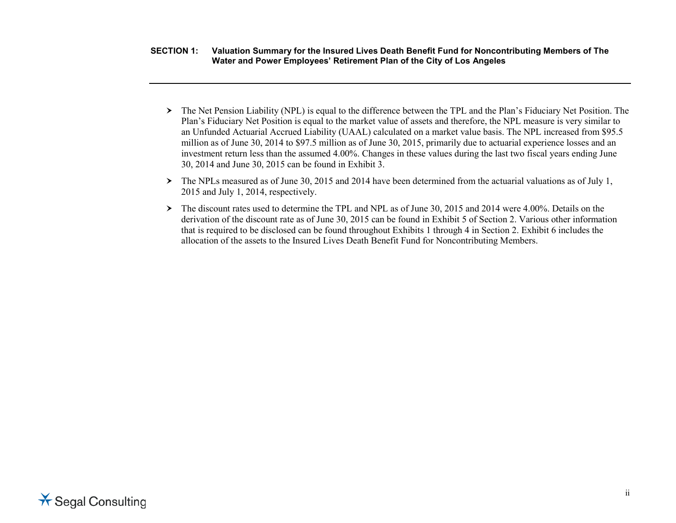- **SECTION 1: Valuation Summary for the Insured Lives Death Benefit Fund for Noncontributing Members of The Water and Power Employees' Retirement Plan of the City of Los Angeles**
	- The Net Pension Liability (NPL) is equal to the difference between the TPL and the Plan's Fiduciary Net Position. The Plan's Fiduciary Net Position is equal to the market value of assets and therefore, the NPL measure is very similar to an Unfunded Actuarial Accrued Liability (UAAL) calculated on a market value basis. The NPL increased from \$95.5 million as of June 30, 2014 to \$97.5 million as of June 30, 2015, primarily due to actuarial experience losses and an investment return less than the assumed 4.00%. Changes in these values during the last two fiscal years ending June 30, 2014 and June 30, 2015 can be found in Exhibit 3.
	- The NPLs measured as of June 30, 2015 and 2014 have been determined from the actuarial valuations as of July 1, 2015 and July 1, 2014, respectively.
	- The discount rates used to determine the TPL and NPL as of June 30, 2015 and 2014 were 4.00%. Details on the derivation of the discount rate as of June 30, 2015 can be found in Exhibit 5 of Section 2. Various other information that is required to be disclosed can be found throughout Exhibits 1 through 4 in Section 2. Exhibit 6 includes the allocation of the assets to the Insured Lives Death Benefit Fund for Noncontributing Members.

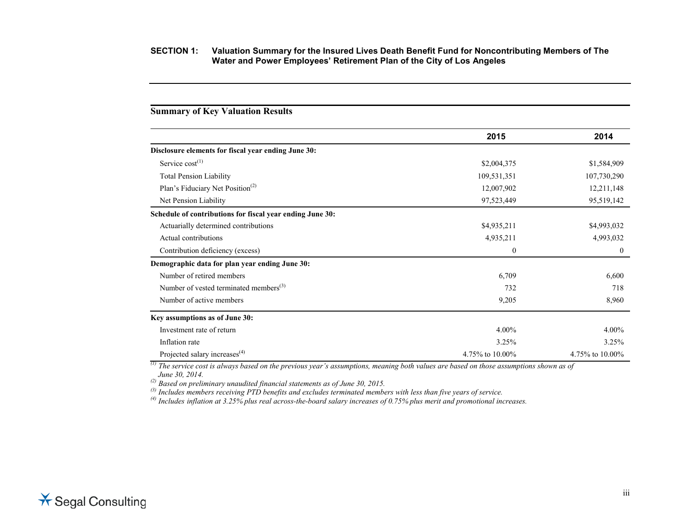## **2015 2014 Disclosure elements for fiscal year ending June 30:** Service cost<sup>(1)</sup>  $$2,004,375$   $$1,584,909$ Total Pension Liability 109,531,351 107,730,290 Plan's Fiduciary Net Position<sup>(2)</sup> 12,211,148 Net Pension Liability 95,519,142 95,519,142 **Schedule of contributions for fiscal year ending June 30:** Actuarially determined contributions  $\text{\$4,935,211}$   $\text{\$4,935,312}$ Actual contributions 4,935,211 4,993,032 Contribution deficiency (excess) 0 0 **Demographic data for plan year ending June 30:** Number of retired members 6,600 6,600 6,600 6,600 6,600 6,600 6,600 6,600 6,600 6,600 6,600 6,600 6,600 6,600 6,600 6,600 6,600 6,600 6,600 6,600 6,600 6,600 6,600 6,600 6,600 6,600 6,600 6,600 6,600 6,600 6,600 6,600 6,60 Number of vested terminated members<sup>(3)</sup>  $\frac{732}{718}$  718 Number of active members 8,960 **Key assumptions as of June 30:** Investment rate of return 4.00% 4.00% Inflation rate  $3.25\%$  3.25% 3.25% Projected salary increases<sup>(4)</sup>  $4.75\%$  to  $10.00\%$   $4.75\%$  to  $10.00\%$   $4.75\%$  to  $10.00\%$

*(1) The service cost is always based on the previous year's assumptions, meaning both values are based on those assumptions shown as of June 30, 2014. (2) Based on preliminary unaudited financial statements as of June 30, 2015.* 

**Summary of Key Valuation Results**

*(3) Includes members receiving PTD benefits and excludes terminated members with less than five years of service.*

*(4) Includes inflation at 3.25% plus real across-the-board salary increases of 0.75% plus merit and promotional increases.*

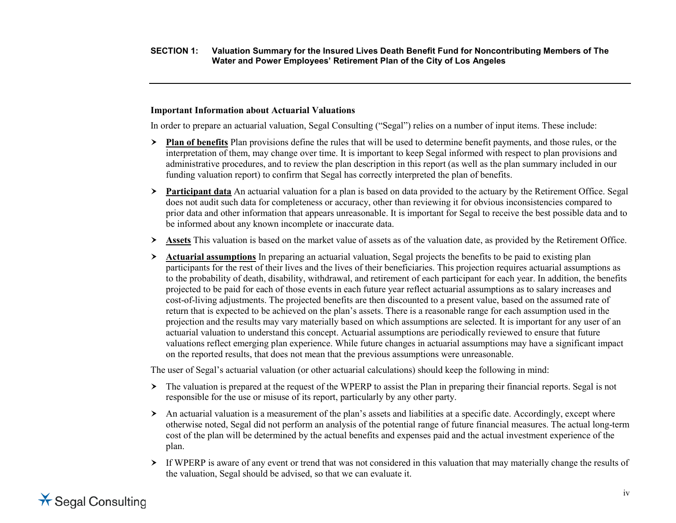#### **Important Information about Actuarial Valuations**

In order to prepare an actuarial valuation, Segal Consulting ("Segal") relies on a number of input items. These include:

- **Plan of benefits** Plan provisions define the rules that will be used to determine benefit payments, and those rules, or the interpretation of them, may change over time. It is important to keep Segal informed with respect to plan provisions and administrative procedures, and to review the plan description in this report (as well as the plan summary included in our funding valuation report) to confirm that Segal has correctly interpreted the plan of benefits.
- **Participant data** An actuarial valuation for a plan is based on data provided to the actuary by the Retirement Office. Segal does not audit such data for completeness or accuracy, other than reviewing it for obvious inconsistencies compared to prior data and other information that appears unreasonable. It is important for Segal to receive the best possible data and to be informed about any known incomplete or inaccurate data.
- **Assets** This valuation is based on the market value of assets as of the valuation date, as provided by the Retirement Office.
- **Actuarial assumptions** In preparing an actuarial valuation, Segal projects the benefits to be paid to existing plan participants for the rest of their lives and the lives of their beneficiaries. This projection requires actuarial assumptions as to the probability of death, disability, withdrawal, and retirement of each participant for each year. In addition, the benefits projected to be paid for each of those events in each future year reflect actuarial assumptions as to salary increases and cost-of-living adjustments. The projected benefits are then discounted to a present value, based on the assumed rate of return that is expected to be achieved on the plan's assets. There is a reasonable range for each assumption used in the projection and the results may vary materially based on which assumptions are selected. It is important for any user of an actuarial valuation to understand this concept. Actuarial assumptions are periodically reviewed to ensure that future valuations reflect emerging plan experience. While future changes in actuarial assumptions may have a significant impact on the reported results, that does not mean that the previous assumptions were unreasonable.

The user of Segal's actuarial valuation (or other actuarial calculations) should keep the following in mind:

- $\geq$  The valuation is prepared at the request of the WPERP to assist the Plan in preparing their financial reports. Segal is not responsible for the use or misuse of its report, particularly by any other party.
- $\triangleright$  An actuarial valuation is a measurement of the plan's assets and liabilities at a specific date. Accordingly, except where otherwise noted, Segal did not perform an analysis of the potential range of future financial measures. The actual long-term cost of the plan will be determined by the actual benefits and expenses paid and the actual investment experience of the plan.
- If WPERP is aware of any event or trend that was not considered in this valuation that may materially change the results of the valuation, Segal should be advised, so that we can evaluate it.

# **X** Segal Consulting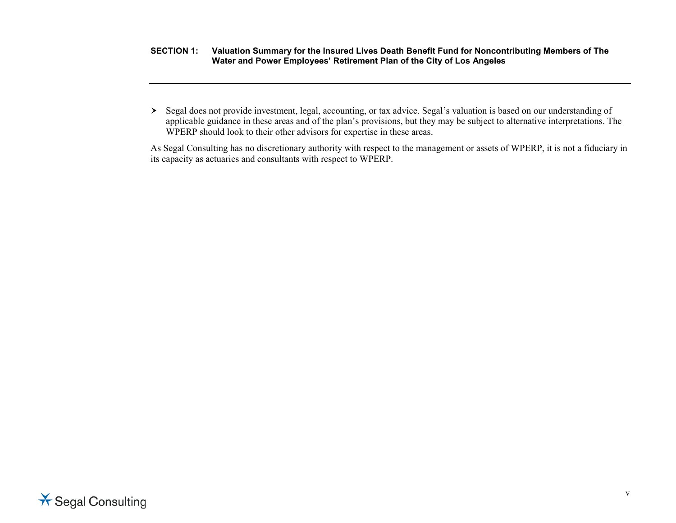Segal does not provide investment, legal, accounting, or tax advice. Segal's valuation is based on our understanding of applicable guidance in these areas and of the plan's provisions, but they may be subject to alternative interpretations. The WPERP should look to their other advisors for expertise in these areas.

As Segal Consulting has no discretionary authority with respect to the management or assets of WPERP, it is not a fiduciary in its capacity as actuaries and consultants with respect to WPERP.

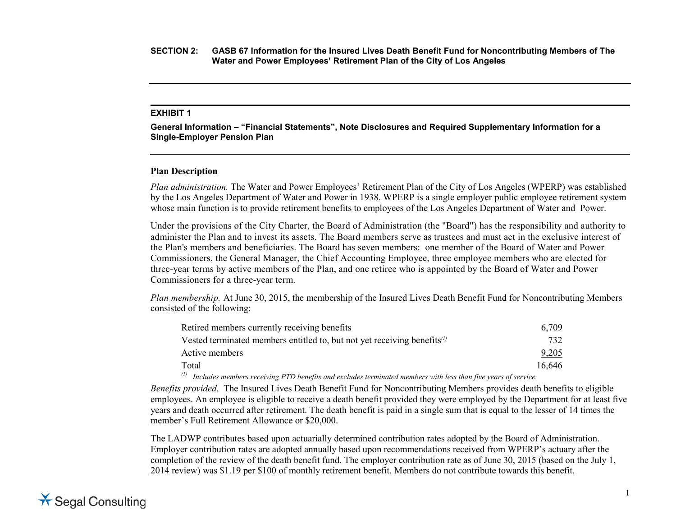#### **EXHIBIT 1**

**General Information – "Financial Statements", Note Disclosures and Required Supplementary Information for a Single-Employer Pension Plan**

#### **Plan Description**

*Plan administration.* The Water and Power Employees' Retirement Plan of the City of Los Angeles (WPERP) was established by the Los Angeles Department of Water and Power in 1938. WPERP is a single employer public employee retirement system whose main function is to provide retirement benefits to employees of the Los Angeles Department of Water and Power.

Under the provisions of the City Charter, the Board of Administration (the "Board") has the responsibility and authority to administer the Plan and to invest its assets. The Board members serve as trustees and must act in the exclusive interest of the Plan's members and beneficiaries. The Board has seven members: one member of the Board of Water and Power Commissioners, the General Manager, the Chief Accounting Employee, three employee members who are elected for three-year terms by active members of the Plan, and one retiree who is appointed by the Board of Water and Power Commissioners for a three-year term.

*Plan membership.* At June 30, 2015, the membership of the Insured Lives Death Benefit Fund for Noncontributing Members consisted of the following:

| Retired members currently receiving benefits                                         | 6,709  |
|--------------------------------------------------------------------------------------|--------|
| Vested terminated members entitled to, but not yet receiving benefits $\binom{n}{k}$ | 732    |
| Active members                                                                       | 9,205  |
| Total                                                                                | 16,646 |
|                                                                                      |        |

*(1) Includes members receiving PTD benefits and excludes terminated members with less than five years of service.*

*Benefits provided.* The Insured Lives Death Benefit Fund for Noncontributing Members provides death benefits to eligible employees. An employee is eligible to receive a death benefit provided they were employed by the Department for at least five years and death occurred after retirement. The death benefit is paid in a single sum that is equal to the lesser of 14 times the member's Full Retirement Allowance or \$20,000.

The LADWP contributes based upon actuarially determined contribution rates adopted by the Board of Administration. Employer contribution rates are adopted annually based upon recommendations received from WPERP's actuary after the completion of the review of the death benefit fund. The employer contribution rate as of June 30, 2015 (based on the July 1, 2014 review) was \$1.19 per \$100 of monthly retirement benefit. Members do not contribute towards this benefit.

# $\star$  Segal Consulting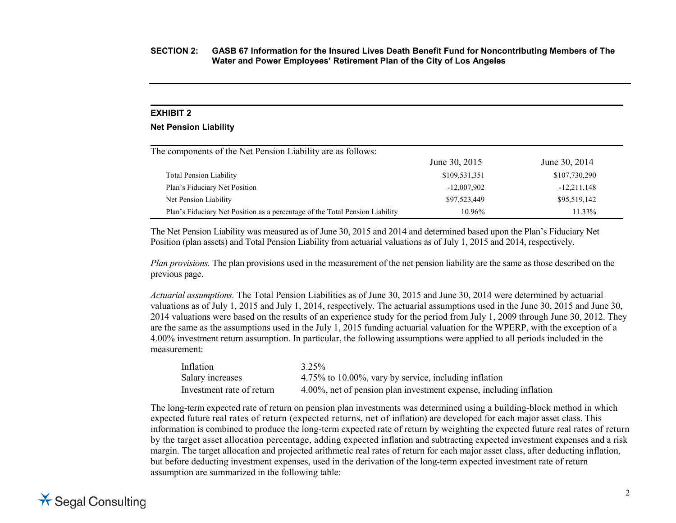#### **EXHIBIT 2**

#### **Net Pension Liability**

| The components of the Net Pension Liability are as follows:                  |               |               |  |  |
|------------------------------------------------------------------------------|---------------|---------------|--|--|
|                                                                              | June 30, 2015 | June 30, 2014 |  |  |
| <b>Total Pension Liability</b>                                               | \$109,531,351 | \$107,730,290 |  |  |
| Plan's Fiduciary Net Position                                                | $-12,007,902$ | $-12,211,148$ |  |  |
| Net Pension Liability                                                        | \$97,523,449  | \$95,519,142  |  |  |
| Plan's Fiduciary Net Position as a percentage of the Total Pension Liability | $10.96\%$     | 11.33%        |  |  |

The Net Pension Liability was measured as of June 30, 2015 and 2014 and determined based upon the Plan's Fiduciary Net Position (plan assets) and Total Pension Liability from actuarial valuations as of July 1, 2015 and 2014, respectively.

*Plan provisions.* The plan provisions used in the measurement of the net pension liability are the same as those described on the previous page.

*Actuarial assumptions.* The Total Pension Liabilities as of June 30, 2015 and June 30, 2014 were determined by actuarial valuations as of July 1, 2015 and July 1, 2014, respectively. The actuarial assumptions used in the June 30, 2015 and June 30, 2014 valuations were based on the results of an experience study for the period from July 1, 2009 through June 30, 2012. They are the same as the assumptions used in the July 1, 2015 funding actuarial valuation for the WPERP, with the exception of a 4.00% investment return assumption. In particular, the following assumptions were applied to all periods included in the measurement:

| Inflation                 | $3.25\%$                                                           |
|---------------------------|--------------------------------------------------------------------|
| Salary increases          | 4.75% to 10.00%, vary by service, including inflation              |
| Investment rate of return | 4.00%, net of pension plan investment expense, including inflation |

The long-term expected rate of return on pension plan investments was determined using a building-block method in which expected future real rates of return (expected returns, net of inflation) are developed for each major asset class. This information is combined to produce the long-term expected rate of return by weighting the expected future real rates of return by the target asset allocation percentage, adding expected inflation and subtracting expected investment expenses and a risk margin. The target allocation and projected arithmetic real rates of return for each major asset class, after deducting inflation, but before deducting investment expenses, used in the derivation of the long-term expected investment rate of return assumption are summarized in the following table:

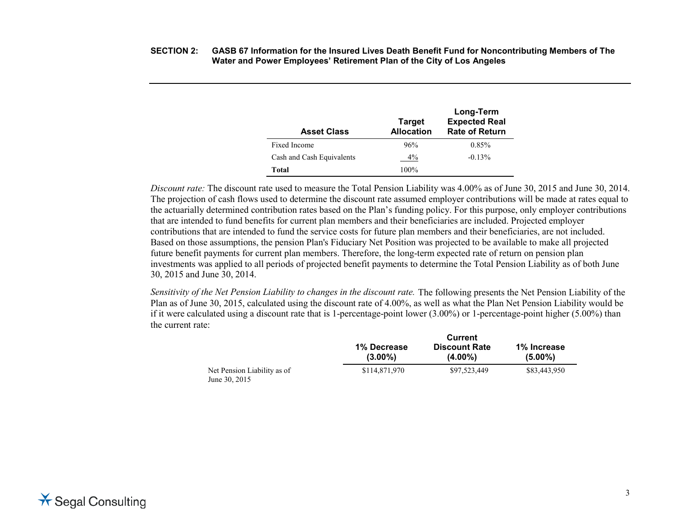| <b>Asset Class</b>        | <b>Target</b><br><b>Allocation</b> | Long-Term<br><b>Expected Real</b><br><b>Rate of Return</b> |
|---------------------------|------------------------------------|------------------------------------------------------------|
| Fixed Income              | 96%                                | 0.85%                                                      |
| Cash and Cash Equivalents | $4\%$                              | $-0.13%$                                                   |
| Total                     | $100\%$                            |                                                            |

*Discount rate:* The discount rate used to measure the Total Pension Liability was 4.00% as of June 30, 2015 and June 30, 2014. The projection of cash flows used to determine the discount rate assumed employer contributions will be made at rates equal to the actuarially determined contribution rates based on the Plan's funding policy. For this purpose, only employer contributions that are intended to fund benefits for current plan members and their beneficiaries are included. Projected employer contributions that are intended to fund the service costs for future plan members and their beneficiaries, are not included. Based on those assumptions, the pension Plan's Fiduciary Net Position was projected to be available to make all projected future benefit payments for current plan members. Therefore, the long-term expected rate of return on pension plan investments was applied to all periods of projected benefit payments to determine the Total Pension Liability as of both June 30, 2015 and June 30, 2014.

*Sensitivity of the Net Pension Liability to changes in the discount rate.* The following presents the Net Pension Liability of the Plan as of June 30, 2015, calculated using the discount rate of 4.00%, as well as what the Plan Net Pension Liability would be if it were calculated using a discount rate that is 1-percentage-point lower  $(3.00\%)$  or 1-percentage-point higher  $(5.00\%)$  than the current rate:

|                                              | <b>Current</b>            |                                    |                           |  |
|----------------------------------------------|---------------------------|------------------------------------|---------------------------|--|
|                                              | 1% Decrease<br>$(3.00\%)$ | <b>Discount Rate</b><br>$(4.00\%)$ | 1% Increase<br>$(5.00\%)$ |  |
| Net Pension Liability as of<br>June 30, 2015 | \$114,871,970             | \$97,523,449                       | \$83,443,950              |  |

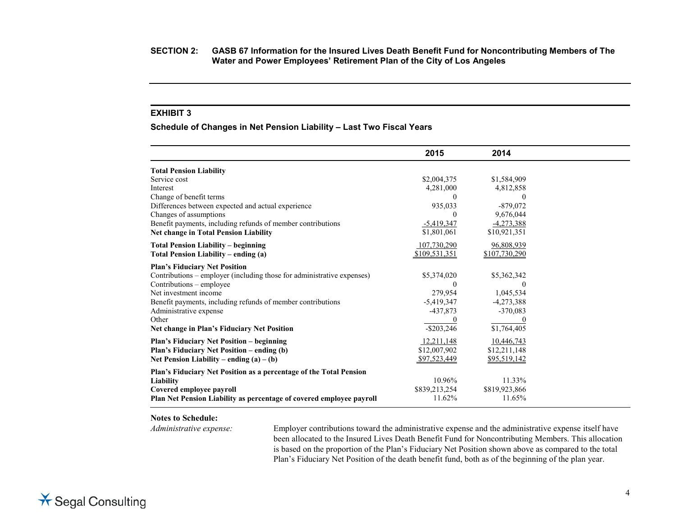#### **EXHIBIT 3**

**Schedule of Changes in Net Pension Liability – Last Two Fiscal Years**

|                                                                        | 2015          | 2014          |
|------------------------------------------------------------------------|---------------|---------------|
| <b>Total Pension Liability</b>                                         |               |               |
| Service cost                                                           | \$2,004,375   | \$1,584,909   |
| Interest                                                               | 4,281,000     | 4,812,858     |
| Change of benefit terms                                                | $\Omega$      | $\Omega$      |
| Differences between expected and actual experience                     | 935,033       | $-879,072$    |
| Changes of assumptions                                                 | $\Omega$      | 9,676,044     |
| Benefit payments, including refunds of member contributions            | $-5,419,347$  | $-4,273,388$  |
| <b>Net change in Total Pension Liability</b>                           | \$1,801,061   | \$10,921,351  |
| <b>Total Pension Liability – beginning</b>                             | 107,730,290   | 96,808,939    |
| Total Pension Liability - ending (a)                                   | \$109,531,351 | \$107,730,290 |
| <b>Plan's Fiduciary Net Position</b>                                   |               |               |
| Contributions – employer (including those for administrative expenses) | \$5,374,020   | \$5,362,342   |
| Contributions - employee                                               | $\theta$      | $\theta$      |
| Net investment income                                                  | 279,954       | 1,045,534     |
| Benefit payments, including refunds of member contributions            | $-5,419,347$  | $-4,273,388$  |
| Administrative expense                                                 | $-437,873$    | $-370,083$    |
| Other                                                                  |               |               |
| Net change in Plan's Fiduciary Net Position                            | $-$ \$203,246 | \$1,764,405   |
| <b>Plan's Fiduciary Net Position – beginning</b>                       | 12,211,148    | 10,446,743    |
| Plan's Fiduciary Net Position – ending (b)                             | \$12,007,902  | \$12,211,148  |
| Net Pension Liability – ending $(a) - (b)$                             | \$97,523,449  | \$95,519,142  |
| Plan's Fiduciary Net Position as a percentage of the Total Pension     |               |               |
| Liability                                                              | 10.96%        | 11.33%        |
| Covered employee payroll                                               | \$839,213,254 | \$819,923,866 |
| Plan Net Pension Liability as percentage of covered employee payroll   | 11.62%        | 11.65%        |

#### **Notes to Schedule:**

*Administrative expense:* Employer contributions toward the administrative expense and the administrative expense itself have been allocated to the Insured Lives Death Benefit Fund for Noncontributing Members. This allocation is based on the proportion of the Plan's Fiduciary Net Position shown above as compared to the total Plan's Fiduciary Net Position of the death benefit fund, both as of the beginning of the plan year.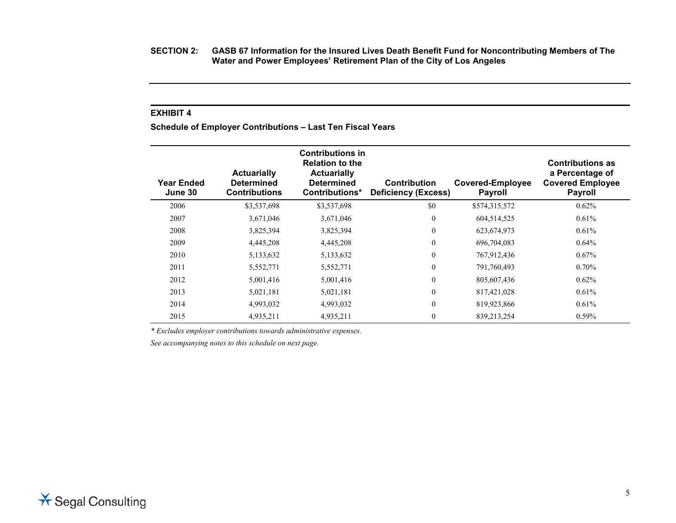**SECTION 2: GASB 67 Information for the Insured Lives Death Benefit Fund for Noncontributing Members of The Water and Power Employees' Retirement Plan of the City of Los Angeles**

#### **EXHIBIT 4**

**Schedule of Employer Contributions – Last Ten Fiscal Years**

| <b>Year Ended</b><br>June 30 | <b>Actuarially</b><br><b>Determined</b><br><b>Contributions</b> | <b>Contributions in</b><br><b>Relation to the</b><br><b>Actuarially</b><br><b>Determined</b><br>Contributions* | <b>Contribution</b><br><b>Deficiency (Excess)</b> | <b>Covered-Employee</b><br><b>Payroll</b> | <b>Contributions as</b><br>a Percentage of<br><b>Covered Employee</b><br><b>Payroll</b> |
|------------------------------|-----------------------------------------------------------------|----------------------------------------------------------------------------------------------------------------|---------------------------------------------------|-------------------------------------------|-----------------------------------------------------------------------------------------|
| 2006                         | \$3,537,698                                                     | \$3,537,698                                                                                                    | \$0                                               | \$574,315,572                             | 0.62%                                                                                   |
| 2007                         | 3,671,046                                                       | 3,671,046                                                                                                      | $\boldsymbol{0}$                                  | 604,514,525                               | 0.61%                                                                                   |
| 2008                         | 3,825,394                                                       | 3,825,394                                                                                                      | $\mathbf{0}$                                      | 623, 674, 973                             | 0.61%                                                                                   |
| 2009                         | 4,445,208                                                       | 4,445,208                                                                                                      | $\boldsymbol{0}$                                  | 696,704,083                               | $0.64\%$                                                                                |
| 2010                         | 5,133,632                                                       | 5,133,632                                                                                                      | $\mathbf{0}$                                      | 767,912,436                               | $0.67\%$                                                                                |
| 2011                         | 5,552,771                                                       | 5,552,771                                                                                                      | $\boldsymbol{0}$                                  | 791,760,493                               | $0.70\%$                                                                                |
| 2012                         | 5,001,416                                                       | 5,001,416                                                                                                      | $\mathbf{0}$                                      | 805,607,436                               | $0.62\%$                                                                                |
| 2013                         | 5,021,181                                                       | 5,021,181                                                                                                      | $\overline{0}$                                    | 817,421,028                               | 0.61%                                                                                   |
| 2014                         | 4,993,032                                                       | 4,993,032                                                                                                      | $\boldsymbol{0}$                                  | 819,923,866                               | 0.61%                                                                                   |
| 2015                         | 4,935,211                                                       | 4,935,211                                                                                                      | $\mathbf{0}$                                      | 839,213,254                               | $0.59\%$                                                                                |

*\* Excludes employer contributions towards administrative expenses.*

*See accompanying notes to this schedule on next page.*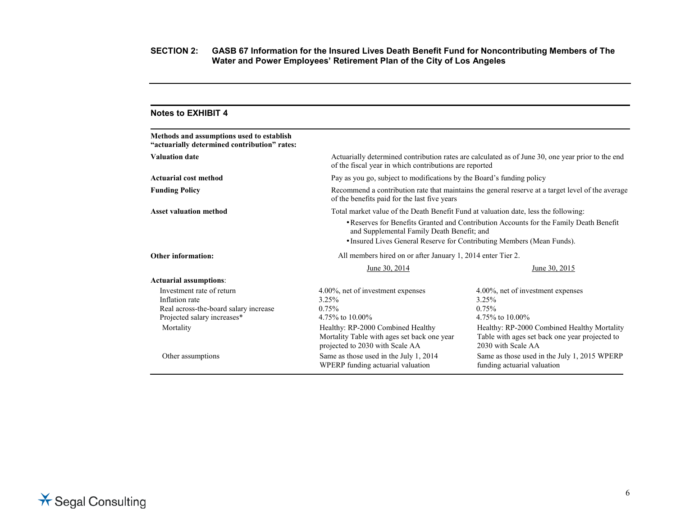| <b>Notes to EXHIBIT 4</b>                                                                                           |                                                                                                                                                                                                                |                                                                                                                                                             |  |  |
|---------------------------------------------------------------------------------------------------------------------|----------------------------------------------------------------------------------------------------------------------------------------------------------------------------------------------------------------|-------------------------------------------------------------------------------------------------------------------------------------------------------------|--|--|
| Methods and assumptions used to establish<br>"actuarially determined contribution" rates:                           |                                                                                                                                                                                                                |                                                                                                                                                             |  |  |
| <b>Valuation date</b>                                                                                               |                                                                                                                                                                                                                | Actuarially determined contribution rates are calculated as of June 30, one year prior to the end<br>of the fiscal year in which contributions are reported |  |  |
| <b>Actuarial cost method</b>                                                                                        | Pay as you go, subject to modifications by the Board's funding policy                                                                                                                                          |                                                                                                                                                             |  |  |
| <b>Funding Policy</b>                                                                                               | Recommend a contribution rate that maintains the general reserve at a target level of the average<br>of the benefits paid for the last five years                                                              |                                                                                                                                                             |  |  |
| <b>Asset valuation method</b>                                                                                       | Total market value of the Death Benefit Fund at valuation date, less the following:                                                                                                                            |                                                                                                                                                             |  |  |
|                                                                                                                     | • Reserves for Benefits Granted and Contribution Accounts for the Family Death Benefit<br>and Supplemental Family Death Benefit; and<br>• Insured Lives General Reserve for Contributing Members (Mean Funds). |                                                                                                                                                             |  |  |
| <b>Other information:</b>                                                                                           | All members hired on or after January 1, 2014 enter Tier 2.                                                                                                                                                    |                                                                                                                                                             |  |  |
|                                                                                                                     | June 30, 2014                                                                                                                                                                                                  | June 30, 2015                                                                                                                                               |  |  |
| <b>Actuarial assumptions:</b>                                                                                       |                                                                                                                                                                                                                |                                                                                                                                                             |  |  |
| Investment rate of return<br>Inflation rate<br>Real across-the-board salary increase<br>Projected salary increases* | 4.00%, net of investment expenses<br>3.25%<br>$0.75\%$<br>4.75% to 10.00%                                                                                                                                      | 4.00%, net of investment expenses<br>3.25%<br>0.75%<br>4.75% to 10.00%                                                                                      |  |  |
| Mortality                                                                                                           | Healthy: RP-2000 Combined Healthy<br>Mortality Table with ages set back one year<br>projected to 2030 with Scale AA                                                                                            | Healthy: RP-2000 Combined Healthy Mortality<br>Table with ages set back one year projected to<br>2030 with Scale AA                                         |  |  |
| Other assumptions                                                                                                   | Same as those used in the July 1, 2014<br>WPERP funding actuarial valuation                                                                                                                                    | Same as those used in the July 1, 2015 WPERP<br>funding actuarial valuation                                                                                 |  |  |



**X** Segal Consulting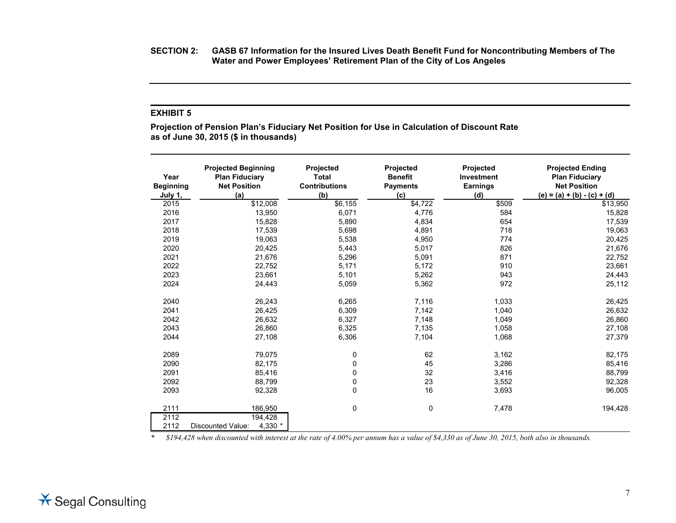**SECTION 2: GASB 67 Information for the Insured Lives Death Benefit Fund for Noncontributing Members of The Water and Power Employees' Retirement Plan of the City of Los Angeles**

#### **EXHIBIT 5**

**Projection of Pension Plan's Fiduciary Net Position for Use in Calculation of Discount Rate as of June 30, 2015 (\$ in thousands)**

| Year<br><b>Beginning</b><br>July 1, | <b>Projected Beginning</b><br><b>Plan Fiduciary</b><br><b>Net Position</b><br>(a) | Projected<br><b>Total</b><br><b>Contributions</b><br>(b) | Projected<br><b>Benefit</b><br><b>Payments</b><br>(c) | <b>Projected</b><br>Investment<br><b>Earnings</b><br>(d) | <b>Projected Ending</b><br><b>Plan Fiduciary</b><br><b>Net Position</b><br>$(e) = (a) + (b) - (c) + (d)$ |
|-------------------------------------|-----------------------------------------------------------------------------------|----------------------------------------------------------|-------------------------------------------------------|----------------------------------------------------------|----------------------------------------------------------------------------------------------------------|
| 2015                                | \$12,008                                                                          | \$6,155                                                  | \$4,722                                               | \$509                                                    | $\sqrt{$13,950}$                                                                                         |
| 2016                                | 13,950                                                                            | 6,071                                                    | 4,776                                                 | 584                                                      | 15,828                                                                                                   |
| 2017                                | 15,828                                                                            | 5,890                                                    | 4,834                                                 | 654                                                      | 17,539                                                                                                   |
| 2018                                | 17,539                                                                            | 5,698                                                    | 4,891                                                 | 718                                                      | 19,063                                                                                                   |
| 2019                                | 19,063                                                                            | 5,538                                                    | 4,950                                                 | 774                                                      | 20,425                                                                                                   |
| 2020                                | 20,425                                                                            | 5,443                                                    | 5,017                                                 | 826                                                      | 21,676                                                                                                   |
| 2021                                | 21,676                                                                            | 5,296                                                    | 5,091                                                 | 871                                                      | 22,752                                                                                                   |
| 2022                                | 22,752                                                                            | 5,171                                                    | 5,172                                                 | 910                                                      | 23,661                                                                                                   |
| 2023                                | 23.661                                                                            | 5,101                                                    | 5,262                                                 | 943                                                      | 24,443                                                                                                   |
| 2024                                | 24,443                                                                            | 5,059                                                    | 5,362                                                 | 972                                                      | 25,112                                                                                                   |
| 2040                                | 26,243                                                                            | 6,265                                                    | 7,116                                                 | 1,033                                                    | 26,425                                                                                                   |
| 2041                                | 26,425                                                                            | 6,309                                                    | 7,142                                                 | 1,040                                                    | 26,632                                                                                                   |
| 2042                                | 26,632                                                                            | 6,327                                                    | 7,148                                                 | 1,049                                                    | 26,860                                                                                                   |
| 2043                                | 26,860                                                                            | 6,325                                                    | 7,135                                                 | 1,058                                                    | 27,108                                                                                                   |
| 2044                                | 27,108                                                                            | 6,306                                                    | 7,104                                                 | 1,068                                                    | 27,379                                                                                                   |
| 2089                                | 79,075                                                                            | 0                                                        | 62                                                    | 3,162                                                    | 82,175                                                                                                   |
| 2090                                | 82,175                                                                            | 0                                                        | 45                                                    | 3,286                                                    | 85,416                                                                                                   |
| 2091                                | 85,416                                                                            | 0                                                        | 32                                                    | 3,416                                                    | 88,799                                                                                                   |
| 2092                                | 88,799                                                                            | 0                                                        | 23                                                    | 3,552                                                    | 92,328                                                                                                   |
| 2093                                | 92,328                                                                            | 0                                                        | 16                                                    | 3,693                                                    | 96,005                                                                                                   |
| 2111                                | 186,950                                                                           | 0                                                        | 0                                                     | 7,478                                                    | 194,428                                                                                                  |
| 2112                                | 194,428                                                                           |                                                          |                                                       |                                                          |                                                                                                          |
| 2112                                | 4,330 $*$<br><b>Discounted Value:</b>                                             |                                                          |                                                       |                                                          |                                                                                                          |

*\* \$194,428 when discounted with interest at the rate of 4.00% per annum has a value of \$4,330 as of June 30, 2015, both also in thousands.*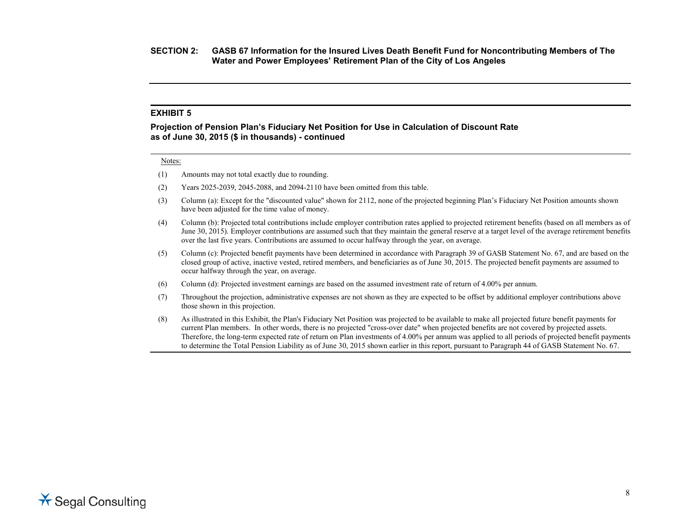#### **EXHIBIT 5**

#### **Projection of Pension Plan's Fiduciary Net Position for Use in Calculation of Discount Rate as of June 30, 2015 (\$ in thousands) - continued**

#### Notes:

- (1) Amounts may not total exactly due to rounding.
- (2) Years 2025-2039, 2045-2088, and 2094-2110 have been omitted from this table.
- (3) Column (a): Except for the "discounted value" shown for 2112, none of the projected beginning Plan's Fiduciary Net Position amounts shown have been adjusted for the time value of money.
- (4) Column (b): Projected total contributions include employer contribution rates applied to projected retirement benefits (based on all members as of June 30, 2015). Employer contributions are assumed such that they maintain the general reserve at a target level of the average retirement benefits over the last five years. Contributions are assumed to occur halfway through the year, on average.
- (5) Column (c): Projected benefit payments have been determined in accordance with Paragraph 39 of GASB Statement No. 67, and are based on the closed group of active, inactive vested, retired members, and beneficiaries as of June 30, 2015. The projected benefit payments are assumed to occur halfway through the year, on average.
- (6) Column (d): Projected investment earnings are based on the assumed investment rate of return of 4.00% per annum.
- (7) Throughout the projection, administrative expenses are not shown as they are expected to be offset by additional employer contributions above those shown in this projection.
- (8) As illustrated in this Exhibit, the Plan's Fiduciary Net Position was projected to be available to make all projected future benefit payments for current Plan members. In other words, there is no projected "cross-over date" when projected benefits are not covered by projected assets. Therefore, the long-term expected rate of return on Plan investments of 4.00% per annum was applied to all periods of projected benefit payments to determine the Total Pension Liability as of June 30, 2015 shown earlier in this report, pursuant to Paragraph 44 of GASB Statement No. 67.